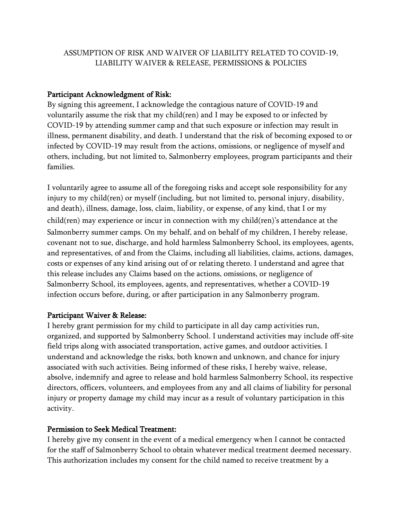# ASSUMPTION OF RISK AND WAIVER OF LIABILITY RELATED TO COVID-19, LIABILITY WAIVER & RELEASE, PERMISSIONS & POLICIES

### Participant Acknowledgment of Risk:

By signing this agreement, I acknowledge the contagious nature of COVID-19 and voluntarily assume the risk that my child(ren) and I may be exposed to or infected by COVID-19 by attending summer camp and that such exposure or infection may result in illness, permanent disability, and death. I understand that the risk of becoming exposed to or infected by COVID-19 may result from the actions, omissions, or negligence of myself and others, including, but not limited to, Salmonberry employees, program participants and their families.

I voluntarily agree to assume all of the foregoing risks and accept sole responsibility for any injury to my child(ren) or myself (including, but not limited to, personal injury, disability, and death), illness, damage, loss, claim, liability, or expense, of any kind, that I or my child(ren) may experience or incur in connection with my child(ren)'s attendance at the Salmonberry summer camps. On my behalf, and on behalf of my children, I hereby release, covenant not to sue, discharge, and hold harmless Salmonberry School, its employees, agents, and representatives, of and from the Claims, including all liabilities, claims, actions, damages, costs or expenses of any kind arising out of or relating thereto. I understand and agree that this release includes any Claims based on the actions, omissions, or negligence of Salmonberry School, its employees, agents, and representatives, whether a COVID-19 infection occurs before, during, or after participation in any Salmonberry program.

#### Participant Waiver & Release:

I hereby grant permission for my child to participate in all day camp activities run, organized, and supported by Salmonberry School. I understand activities may include off-site field trips along with associated transportation, active games, and outdoor activities. I understand and acknowledge the risks, both known and unknown, and chance for injury associated with such activities. Being informed of these risks, I hereby waive, release, absolve, indemnify and agree to release and hold harmless Salmonberry School, its respective directors, officers, volunteers, and employees from any and all claims of liability for personal injury or property damage my child may incur as a result of voluntary participation in this activity.

#### Permission to Seek Medical Treatment:

I hereby give my consent in the event of a medical emergency when I cannot be contacted for the staff of Salmonberry School to obtain whatever medical treatment deemed necessary. This authorization includes my consent for the child named to receive treatment by a